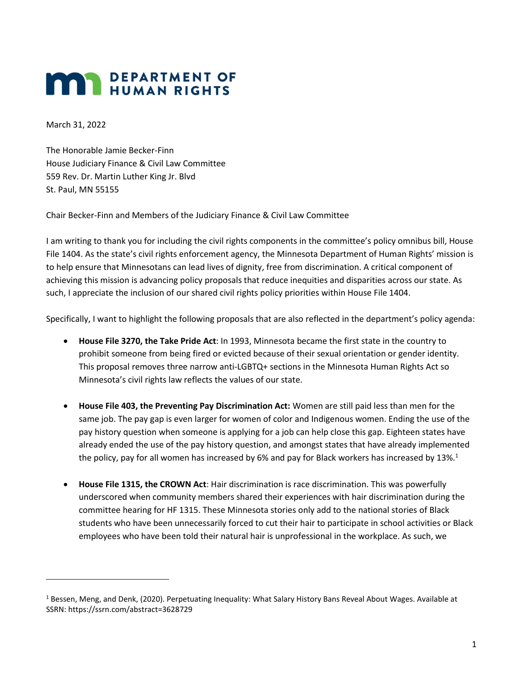## **MAN** PEPARTMENT OF

March 31, 2022

The Honorable Jamie Becker-Finn House Judiciary Finance & Civil Law Committee 559 Rev. Dr. Martin Luther King Jr. Blvd St. Paul, MN 55155

Chair Becker-Finn and Members of the Judiciary Finance & Civil Law Committee

I am writing to thank you for including the civil rights components in the committee's policy omnibus bill, House File 1404. As the state's civil rights enforcement agency, the Minnesota Department of Human Rights' mission is to help ensure that Minnesotans can lead lives of dignity, free from discrimination. A critical component of achieving this mission is advancing policy proposals that reduce inequities and disparities across our state. As such, I appreciate the inclusion of our shared civil rights policy priorities within House File 1404.

Specifically, I want to highlight the following proposals that are also reflected in the department's policy agenda:

- **House File 3270, the Take Pride Act**: In 1993, Minnesota became the first state in the country to prohibit someone from being fired or evicted because of their sexual orientation or gender identity. This proposal removes three narrow anti-LGBTQ+ sections in the Minnesota Human Rights Act so Minnesota's civil rights law reflects the values of our state.
- **House File 403, the Preventing Pay Discrimination Act:** Women are still paid less than men for the same job. The pay gap is even larger for women of color and Indigenous women. Ending the use of the pay history question when someone is applying for a job can help close this gap. Eighteen states have already ended the use of the pay history question, and amongst states that have already implemented the policy, pay for all women has increased by 6% and pay for Black workers has increased by 13%.<sup>1</sup>
- **House File 1315, the CROWN Act**: Hair discrimination is race discrimination. This was powerfully underscored when community members shared their experiences with hair discrimination during the committee hearing for HF 1315. These Minnesota stories only add to the national stories of Black students who have been unnecessarily forced to cut their hair to participate in school activities or Black employees who have been told their natural hair is unprofessional in the workplace. As such, we

 $1$  Bessen, Meng, and Denk, (2020). Perpetuating Inequality: What Salary History Bans Reveal About Wages. Available at SSRN: https://ssrn.com/abstract=3628729